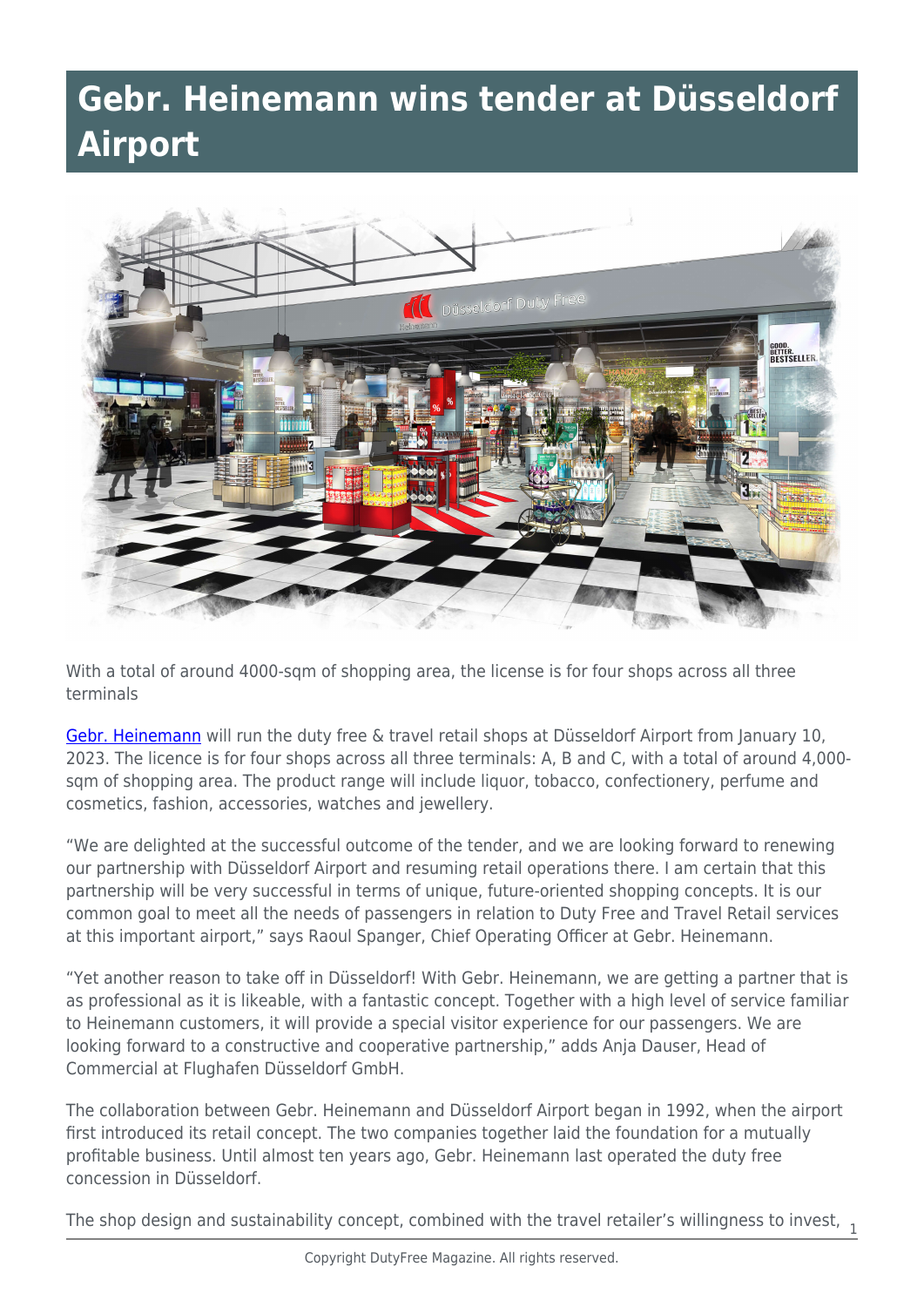## **Gebr. Heinemann wins tender at Düsseldorf Airport**



With a total of around 4000-sqm of shopping area, the license is for four shops across all three terminals

[Gebr. Heinemann](https://www.gebr-heinemann.de/heu/en) will run the duty free & travel retail shops at Düsseldorf Airport from January 10, 2023. The licence is for four shops across all three terminals: A, B and C, with a total of around 4,000 sqm of shopping area. The product range will include liquor, tobacco, confectionery, perfume and cosmetics, fashion, accessories, watches and jewellery.

"We are delighted at the successful outcome of the tender, and we are looking forward to renewing our partnership with Düsseldorf Airport and resuming retail operations there. I am certain that this partnership will be very successful in terms of unique, future-oriented shopping concepts. It is our common goal to meet all the needs of passengers in relation to Duty Free and Travel Retail services at this important airport," says Raoul Spanger, Chief Operating Officer at Gebr. Heinemann.

"Yet another reason to take off in Düsseldorf! With Gebr. Heinemann, we are getting a partner that is as professional as it is likeable, with a fantastic concept. Together with a high level of service familiar to Heinemann customers, it will provide a special visitor experience for our passengers. We are looking forward to a constructive and cooperative partnership," adds Anja Dauser, Head of Commercial at Flughafen Düsseldorf GmbH.

The collaboration between Gebr. Heinemann and Düsseldorf Airport began in 1992, when the airport first introduced its retail concept. The two companies together laid the foundation for a mutually profitable business. Until almost ten years ago, Gebr. Heinemann last operated the duty free concession in Düsseldorf.

The shop design and sustainability concept, combined with the travel retailer's willingness to invest,  $\frac{1}{1}$